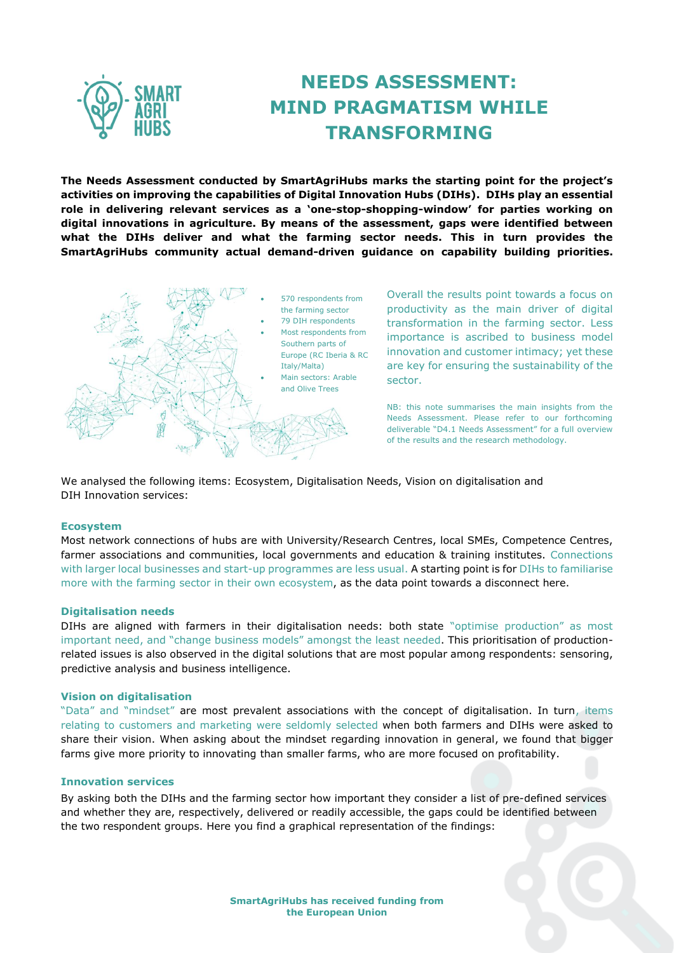

# **NEEDS ASSESSMENT: MIND PRAGMATISM WHILE TRANSFORMING**

**The Needs Assessment conducted by SmartAgriHubs marks the starting point for the project's activities on improving the capabilities of Digital Innovation Hubs (DIHs). DIHs play an essential role in delivering relevant services as a 'one-stop-shopping-window' for parties working on digital innovations in agriculture. By means of the assessment, gaps were identified between what the DIHs deliver and what the farming sector needs. This in turn provides the SmartAgriHubs community actual demand-driven guidance on capability building priorities.**



Overall the results point towards a focus on productivity as the main driver of digital transformation in the farming sector. Less importance is ascribed to business model innovation and customer intimacy; yet these are key for ensuring the sustainability of the

NB: this note summarises the main insights from the Needs Assessment. Please refer to our forthcoming deliverable "D4.1 Needs Assessment" for a full overview of the results and the research methodology.

We analysed the following items: Ecosystem, Digitalisation Needs, Vision on digitalisation and DIH Innovation services:

#### **Ecosystem**

Most network connections of hubs are with University/Research Centres, local SMEs, Competence Centres, farmer associations and communities, local governments and education & training institutes. Connections with larger local businesses and start-up programmes are less usual. A starting point is for DIHs to familiarise more with the farming sector in their own ecosystem, as the data point towards a disconnect here.

## **Digitalisation needs**

DIHs are aligned with farmers in their digitalisation needs: both state "optimise production" as most important need, and "change business models" amongst the least needed. This prioritisation of productionrelated issues is also observed in the digital solutions that are most popular among respondents: sensoring, predictive analysis and business intelligence.

#### **Vision on digitalisation**

"Data" and "mindset" are most prevalent associations with the concept of digitalisation. In turn, items relating to customers and marketing were seldomly selected when both farmers and DIHs were asked to share their vision. When asking about the mindset regarding innovation in general, we found that bigger farms give more priority to innovating than smaller farms, who are more focused on profitability.

#### **Innovation services**

By asking both the DIHs and the farming sector how important they consider a list of pre-defined services and whether they are, respectively, delivered or readily accessible, the gaps could be identified between the two respondent groups. Here you find a graphical representation of the findings: